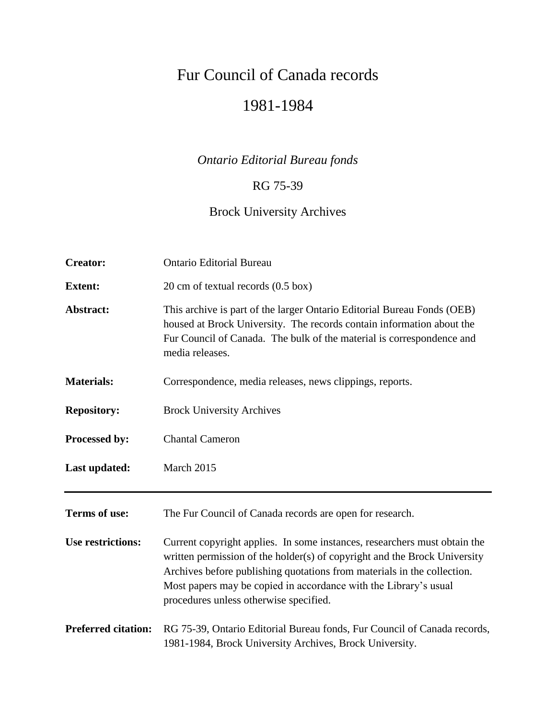# Fur Council of Canada records 1981-1984

# *Ontario Editorial Bureau fonds*

### RG 75-39

# Brock University Archives

| <b>Creator:</b>            | <b>Ontario Editorial Bureau</b>                                                                                                                                                                                                                                                                                                                 |  |
|----------------------------|-------------------------------------------------------------------------------------------------------------------------------------------------------------------------------------------------------------------------------------------------------------------------------------------------------------------------------------------------|--|
| <b>Extent:</b>             | 20 cm of textual records (0.5 box)                                                                                                                                                                                                                                                                                                              |  |
| Abstract:                  | This archive is part of the larger Ontario Editorial Bureau Fonds (OEB)<br>housed at Brock University. The records contain information about the<br>Fur Council of Canada. The bulk of the material is correspondence and<br>media releases.                                                                                                    |  |
| <b>Materials:</b>          | Correspondence, media releases, news clippings, reports.                                                                                                                                                                                                                                                                                        |  |
| <b>Repository:</b>         | <b>Brock University Archives</b>                                                                                                                                                                                                                                                                                                                |  |
| Processed by:              | <b>Chantal Cameron</b>                                                                                                                                                                                                                                                                                                                          |  |
| Last updated:              | March 2015                                                                                                                                                                                                                                                                                                                                      |  |
| Terms of use:              | The Fur Council of Canada records are open for research.                                                                                                                                                                                                                                                                                        |  |
| <b>Use restrictions:</b>   | Current copyright applies. In some instances, researchers must obtain the<br>written permission of the holder(s) of copyright and the Brock University<br>Archives before publishing quotations from materials in the collection.<br>Most papers may be copied in accordance with the Library's usual<br>procedures unless otherwise specified. |  |
| <b>Preferred citation:</b> | RG 75-39, Ontario Editorial Bureau fonds, Fur Council of Canada records,<br>1981-1984, Brock University Archives, Brock University.                                                                                                                                                                                                             |  |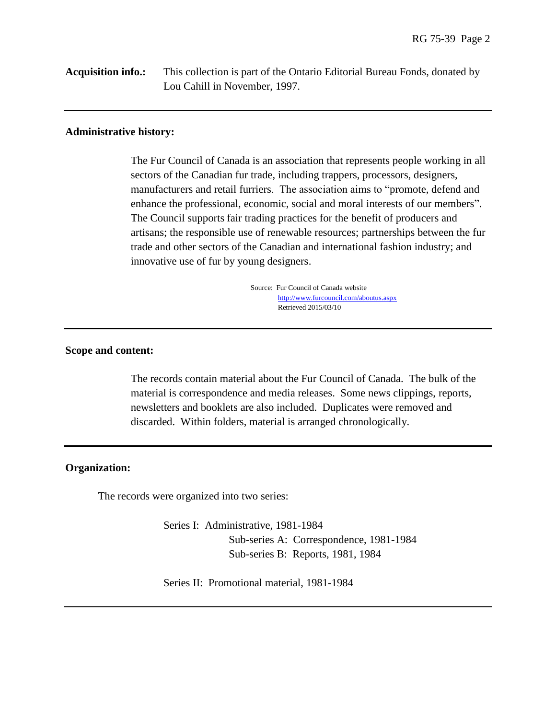**Acquisition info.:** This collection is part of the Ontario Editorial Bureau Fonds, donated by Lou Cahill in November, 1997.

#### **Administrative history:**

The Fur Council of Canada is an association that represents people working in all sectors of the Canadian fur trade, including trappers, processors, designers, manufacturers and retail furriers. The association aims to "promote, defend and enhance the professional, economic, social and moral interests of our members". The Council supports fair trading practices for the benefit of producers and artisans; the responsible use of renewable resources; partnerships between the fur trade and other sectors of the Canadian and international fashion industry; and innovative use of fur by young designers.

> Source: Fur Council of Canada website <http://www.furcouncil.com/aboutus.aspx> Retrieved 2015/03/10

#### **Scope and content:**

The records contain material about the Fur Council of Canada. The bulk of the material is correspondence and media releases. Some news clippings, reports, newsletters and booklets are also included. Duplicates were removed and discarded. Within folders, material is arranged chronologically.

#### **Organization:**

The records were organized into two series:

Series I: Administrative, 1981-1984 Sub-series A: Correspondence, 1981-1984 Sub-series B: Reports, 1981, 1984

Series II: Promotional material, 1981-1984